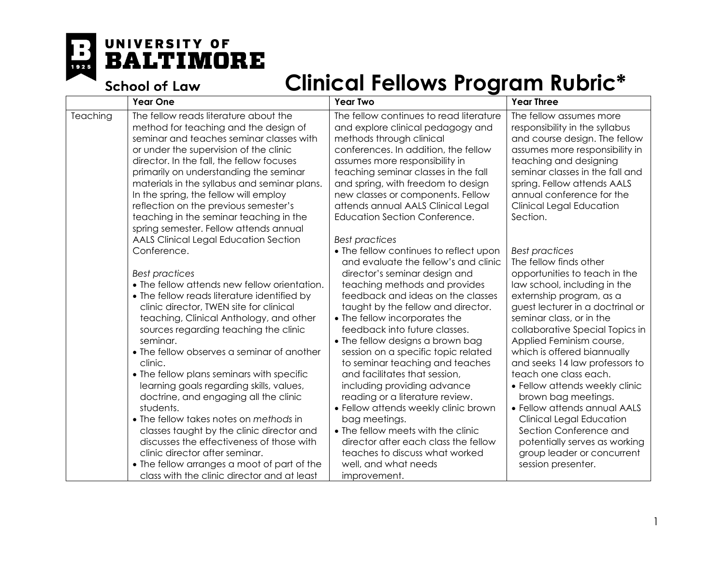UNIVERSITY OF **BALTIMORE** E 1925

**School of Law** 

|          | <b>Year One</b>                                                                                                                                                                                                                                                                                                                                                                                                                                                                      | <b>Year Two</b>                                                                                                                                                                                                                                                                                                                                                                                                                | <b>Year Three</b>                                                                                                                                                                                                                                                                                                                                             |
|----------|--------------------------------------------------------------------------------------------------------------------------------------------------------------------------------------------------------------------------------------------------------------------------------------------------------------------------------------------------------------------------------------------------------------------------------------------------------------------------------------|--------------------------------------------------------------------------------------------------------------------------------------------------------------------------------------------------------------------------------------------------------------------------------------------------------------------------------------------------------------------------------------------------------------------------------|---------------------------------------------------------------------------------------------------------------------------------------------------------------------------------------------------------------------------------------------------------------------------------------------------------------------------------------------------------------|
| Teaching | The fellow reads literature about the<br>method for teaching and the design of<br>seminar and teaches seminar classes with<br>or under the supervision of the clinic<br>director. In the fall, the fellow focuses<br>primarily on understanding the seminar<br>materials in the syllabus and seminar plans.<br>In the spring, the fellow will employ<br>reflection on the previous semester's<br>teaching in the seminar teaching in the<br>spring semester. Fellow attends annual   | The fellow continues to read literature<br>and explore clinical pedagogy and<br>methods through clinical<br>conferences. In addition, the fellow<br>assumes more responsibility in<br>teaching seminar classes in the fall<br>and spring, with freedom to design<br>new classes or components. Fellow<br>attends annual AALS Clinical Legal<br><b>Education Section Conference.</b>                                            | The fellow assumes more<br>responsibility in the syllabus<br>and course design. The fellow<br>assumes more responsibility in<br>teaching and designing<br>seminar classes in the fall and<br>spring. Fellow attends AALS<br>annual conference for the<br><b>Clinical Legal Education</b><br>Section.                                                          |
|          | <b>AALS Clinical Legal Education Section</b><br>Conference.<br><b>Best practices</b><br>• The fellow attends new fellow orientation.<br>• The fellow reads literature identified by<br>clinic director, TWEN site for clinical<br>teaching, Clinical Anthology, and other<br>sources regarding teaching the clinic                                                                                                                                                                   | <b>Best practices</b><br>• The fellow continues to reflect upon<br>and evaluate the fellow's and clinic<br>director's seminar design and<br>teaching methods and provides<br>feedback and ideas on the classes<br>taught by the fellow and director.<br>• The fellow incorporates the<br>feedback into future classes.                                                                                                         | <b>Best practices</b><br>The fellow finds other<br>opportunities to teach in the<br>law school, including in the<br>externship program, as a<br>guest lecturer in a doctrinal or<br>seminar class, or in the<br>collaborative Special Topics in                                                                                                               |
|          | seminar.<br>• The fellow observes a seminar of another<br>clinic.<br>• The fellow plans seminars with specific<br>learning goals regarding skills, values,<br>doctrine, and engaging all the clinic<br>students.<br>• The fellow takes notes on methods in<br>classes taught by the clinic director and<br>discusses the effectiveness of those with<br>clinic director after seminar.<br>• The fellow arranges a moot of part of the<br>class with the clinic director and at least | • The fellow designs a brown bag<br>session on a specific topic related<br>to seminar teaching and teaches<br>and facilitates that session,<br>including providing advance<br>reading or a literature review.<br>• Fellow attends weekly clinic brown<br>bag meetings.<br>• The fellow meets with the clinic<br>director after each class the fellow<br>teaches to discuss what worked<br>well, and what needs<br>improvement. | Applied Feminism course,<br>which is offered biannually<br>and seeks 14 law professors to<br>teach one class each.<br>• Fellow attends weekly clinic<br>brown bag meetings.<br>• Fellow attends annual AALS<br><b>Clinical Legal Education</b><br>Section Conference and<br>potentially serves as working<br>group leader or concurrent<br>session presenter. |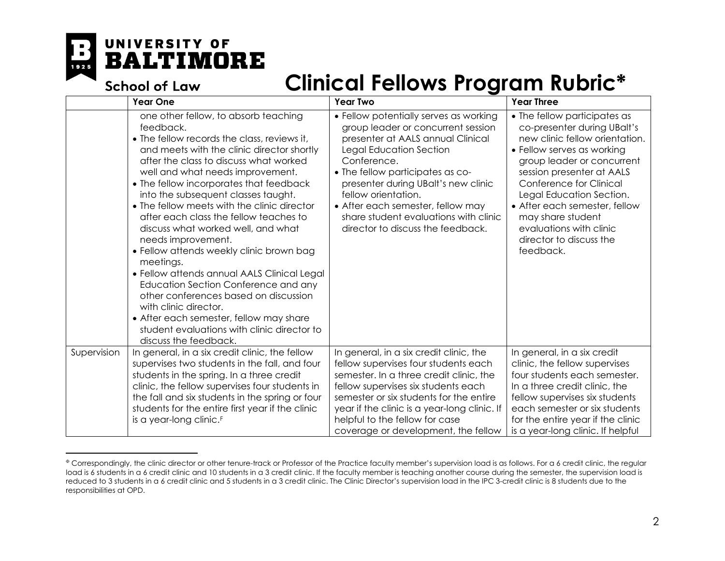

#### <span id="page-1-0"></span>UNIVERSITY OF **BALTIMORE**

**School of Law** 

| <b>Year One</b>                                                                                                                                                                                                                                                                                                                                                                                                                                                                                                                                                                                                                                                                                                                                                                                          | <b>Year Two</b>                                                                                                                                                                                                                                                                                                                                                                  | <b>Year Three</b>                                                                                                                                                                                                                                                                                                                                                      |
|----------------------------------------------------------------------------------------------------------------------------------------------------------------------------------------------------------------------------------------------------------------------------------------------------------------------------------------------------------------------------------------------------------------------------------------------------------------------------------------------------------------------------------------------------------------------------------------------------------------------------------------------------------------------------------------------------------------------------------------------------------------------------------------------------------|----------------------------------------------------------------------------------------------------------------------------------------------------------------------------------------------------------------------------------------------------------------------------------------------------------------------------------------------------------------------------------|------------------------------------------------------------------------------------------------------------------------------------------------------------------------------------------------------------------------------------------------------------------------------------------------------------------------------------------------------------------------|
| one other fellow, to absorb teaching<br>feedback.<br>• The fellow records the class, reviews it,<br>and meets with the clinic director shortly<br>after the class to discuss what worked<br>well and what needs improvement.<br>• The fellow incorporates that feedback<br>into the subsequent classes taught.<br>• The fellow meets with the clinic director<br>after each class the fellow teaches to<br>discuss what worked well, and what<br>needs improvement.<br>• Fellow attends weekly clinic brown bag<br>meetings.<br>• Fellow attends annual AALS Clinical Legal<br>Education Section Conference and any<br>other conferences based on discussion<br>with clinic director.<br>• After each semester, fellow may share<br>student evaluations with clinic director to<br>discuss the feedback. | • Fellow potentially serves as working<br>group leader or concurrent session<br>presenter at AALS annual Clinical<br>Legal Education Section<br>Conference.<br>• The fellow participates as co-<br>presenter during UBalt's new clinic<br>fellow orientation.<br>• After each semester, fellow may<br>share student evaluations with clinic<br>director to discuss the feedback. | • The fellow participates as<br>co-presenter during UBalt's<br>new clinic fellow orientation.<br>• Fellow serves as working<br>group leader or concurrent<br>session presenter at AALS<br>Conference for Clinical<br>Legal Education Section.<br>• After each semester, fellow<br>may share student<br>evaluations with clinic<br>director to discuss the<br>feedback. |
| In general, in a six credit clinic, the fellow<br>supervises two students in the fall, and four<br>students in the spring. In a three credit<br>clinic, the fellow supervises four students in<br>the fall and six students in the spring or four<br>students for the entire first year if the clinic<br>is a year-long clinic. <sup>F</sup>                                                                                                                                                                                                                                                                                                                                                                                                                                                             | In general, in a six credit clinic, the<br>fellow supervises four students each<br>semester. In a three credit clinic, the<br>fellow supervises six students each<br>semester or six students for the entire<br>year if the clinic is a year-long clinic. If<br>helpful to the fellow for case                                                                                   | In general, in a six credit<br>clinic, the fellow supervises<br>four students each semester.<br>In a three credit clinic, the<br>fellow supervises six students<br>each semester or six students<br>for the entire year if the clinic<br>is a year-long clinic. If helpful                                                                                             |
|                                                                                                                                                                                                                                                                                                                                                                                                                                                                                                                                                                                                                                                                                                                                                                                                          |                                                                                                                                                                                                                                                                                                                                                                                  | coverage or development, the fellow                                                                                                                                                                                                                                                                                                                                    |

 $\overline{a}$ <sup>Φ</sup> Correspondingly, the clinic director or other tenure-track or Professor of the Practice faculty member's supervision load is as follows. For a 6 credit clinic, the regular load is 6 students in a 6 credit clinic and 10 students in a 3 credit clinic. If the faculty member is teaching another course during the semester, the supervision load is reduced to 3 students in a 6 credit clinic and 5 students in a 3 credit clinic. The Clinic Director's supervision load in the IPC 3-credit clinic is 8 students due to the responsibilities at OPD.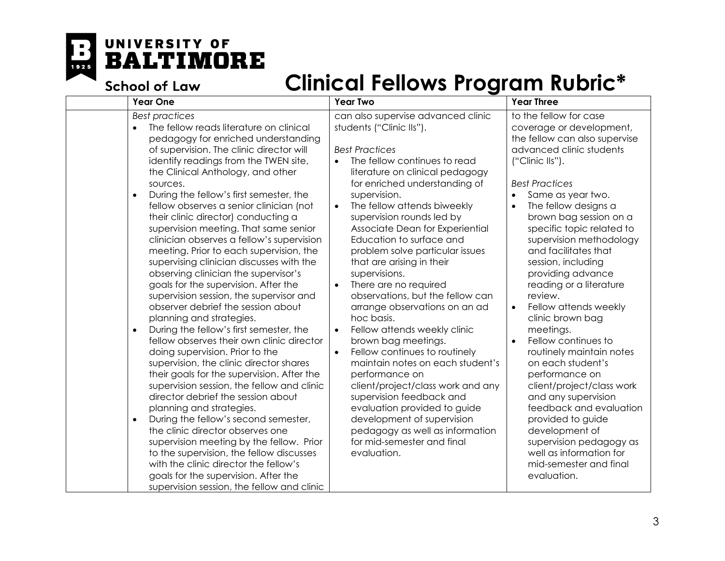F 1925

# UNIVERSITY OF **BALTIMORE**

**School of Law** 

| <b>Year One</b>                                                                                                                                                                                                                                                                                                                                                                                                                                                                                                                                                                                                                                                                                                                                                                                                                                                                                                                                                                                                                                                                                                                                                                                                                                                                                                                                                                                                       | <b>Year Two</b>                                                                                                                                                                                                                                                                                                                                                                                                                                                                                                                                                                                                                                                                                                                                                                                                                                                                                                                                      | <b>Year Three</b>                                                                                                                                                                                                                                                                                                                                                                                                                                                                                                                                                                                                                                                                                                                                                                         |
|-----------------------------------------------------------------------------------------------------------------------------------------------------------------------------------------------------------------------------------------------------------------------------------------------------------------------------------------------------------------------------------------------------------------------------------------------------------------------------------------------------------------------------------------------------------------------------------------------------------------------------------------------------------------------------------------------------------------------------------------------------------------------------------------------------------------------------------------------------------------------------------------------------------------------------------------------------------------------------------------------------------------------------------------------------------------------------------------------------------------------------------------------------------------------------------------------------------------------------------------------------------------------------------------------------------------------------------------------------------------------------------------------------------------------|------------------------------------------------------------------------------------------------------------------------------------------------------------------------------------------------------------------------------------------------------------------------------------------------------------------------------------------------------------------------------------------------------------------------------------------------------------------------------------------------------------------------------------------------------------------------------------------------------------------------------------------------------------------------------------------------------------------------------------------------------------------------------------------------------------------------------------------------------------------------------------------------------------------------------------------------------|-------------------------------------------------------------------------------------------------------------------------------------------------------------------------------------------------------------------------------------------------------------------------------------------------------------------------------------------------------------------------------------------------------------------------------------------------------------------------------------------------------------------------------------------------------------------------------------------------------------------------------------------------------------------------------------------------------------------------------------------------------------------------------------------|
| <b>Best practices</b><br>The fellow reads literature on clinical<br>pedagogy for enriched understanding<br>of supervision. The clinic director will<br>identify readings from the TWEN site,<br>the Clinical Anthology, and other<br>sources.<br>During the fellow's first semester, the<br>fellow observes a senior clinician (not<br>their clinic director) conducting a<br>supervision meeting. That same senior<br>clinician observes a fellow's supervision<br>meeting. Prior to each supervision, the<br>supervising clinician discusses with the<br>observing clinician the supervisor's<br>goals for the supervision. After the<br>supervision session, the supervisor and<br>observer debrief the session about<br>planning and strategies.<br>During the fellow's first semester, the<br>$\bullet$<br>fellow observes their own clinic director<br>doing supervision. Prior to the<br>supervision, the clinic director shares<br>their goals for the supervision. After the<br>supervision session, the fellow and clinic<br>director debrief the session about<br>planning and strategies.<br>During the fellow's second semester,<br>$\bullet$<br>the clinic director observes one<br>supervision meeting by the fellow. Prior<br>to the supervision, the fellow discusses<br>with the clinic director the fellow's<br>goals for the supervision. After the<br>supervision session, the fellow and clinic | can also supervise advanced clinic<br>students ("Clinic IIs").<br><b>Best Practices</b><br>The fellow continues to read<br>literature on clinical pedagogy<br>for enriched understanding of<br>supervision.<br>The fellow attends biweekly<br>$\bullet$<br>supervision rounds led by<br>Associate Dean for Experiential<br>Education to surface and<br>problem solve particular issues<br>that are arising in their<br>supervisions.<br>There are no required<br>$\bullet$<br>observations, but the fellow can<br>arrange observations on an ad<br>hoc basis.<br>Fellow attends weekly clinic<br>$\bullet$<br>brown bag meetings.<br>Fellow continues to routinely<br>$\bullet$<br>maintain notes on each student's<br>performance on<br>client/project/class work and any<br>supervision feedback and<br>evaluation provided to guide<br>development of supervision<br>pedagogy as well as information<br>for mid-semester and final<br>evaluation. | to the fellow for case<br>coverage or development,<br>the fellow can also supervise<br>advanced clinic students<br>("Clinic IIs").<br><b>Best Practices</b><br>Same as year two.<br>The fellow designs a<br>brown bag session on a<br>specific topic related to<br>supervision methodology<br>and facilitates that<br>session, including<br>providing advance<br>reading or a literature<br>review.<br>Fellow attends weekly<br>clinic brown bag<br>meetings.<br>Fellow continues to<br>$\bullet$<br>routinely maintain notes<br>on each student's<br>performance on<br>client/project/class work<br>and any supervision<br>feedback and evaluation<br>provided to guide<br>development of<br>supervision pedagogy as<br>well as information for<br>mid-semester and final<br>evaluation. |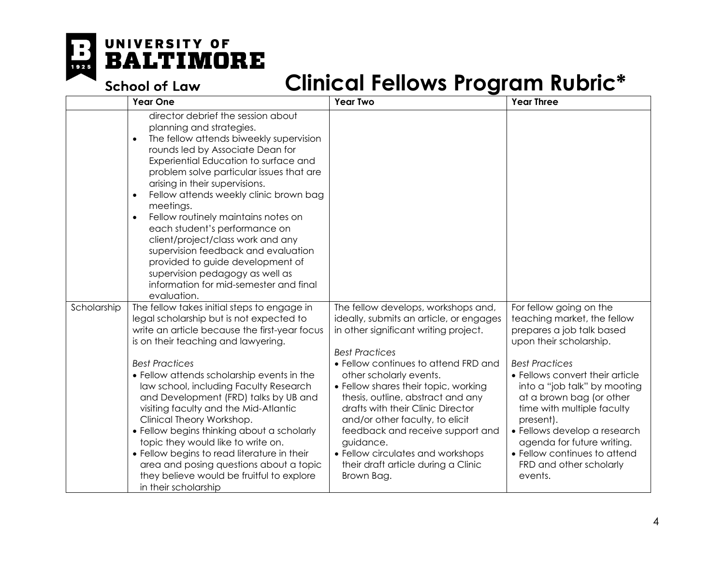

|             | <b>Year One</b>                                                                                                                                                                                                                                                                                                                                                                                                                                                                                                                                                                                                                                                    | <b>Year Two</b>                                                                                                                                                                                                                                                                                                                                                                                                                                                                                                     | <b>Year Three</b>                                                                                                                                                                                                                                                                                                                                                                                                     |
|-------------|--------------------------------------------------------------------------------------------------------------------------------------------------------------------------------------------------------------------------------------------------------------------------------------------------------------------------------------------------------------------------------------------------------------------------------------------------------------------------------------------------------------------------------------------------------------------------------------------------------------------------------------------------------------------|---------------------------------------------------------------------------------------------------------------------------------------------------------------------------------------------------------------------------------------------------------------------------------------------------------------------------------------------------------------------------------------------------------------------------------------------------------------------------------------------------------------------|-----------------------------------------------------------------------------------------------------------------------------------------------------------------------------------------------------------------------------------------------------------------------------------------------------------------------------------------------------------------------------------------------------------------------|
|             | director debrief the session about<br>planning and strategies.<br>The fellow attends biweekly supervision<br>$\bullet$<br>rounds led by Associate Dean for<br>Experiential Education to surface and<br>problem solve particular issues that are<br>arising in their supervisions.<br>Fellow attends weekly clinic brown bag<br>meetings.<br>Fellow routinely maintains notes on<br>$\bullet$<br>each student's performance on<br>client/project/class work and any<br>supervision feedback and evaluation<br>provided to guide development of<br>supervision pedagogy as well as<br>information for mid-semester and final<br>evaluation.                          |                                                                                                                                                                                                                                                                                                                                                                                                                                                                                                                     |                                                                                                                                                                                                                                                                                                                                                                                                                       |
| Scholarship | The fellow takes initial steps to engage in<br>legal scholarship but is not expected to<br>write an article because the first-year focus<br>is on their teaching and lawyering.<br><b>Best Practices</b><br>• Fellow attends scholarship events in the<br>law school, including Faculty Research<br>and Development (FRD) talks by UB and<br>visiting faculty and the Mid-Atlantic<br>Clinical Theory Workshop.<br>• Fellow begins thinking about a scholarly<br>topic they would like to write on.<br>• Fellow begins to read literature in their<br>area and posing questions about a topic<br>they believe would be fruitful to explore<br>in their scholarship | The fellow develops, workshops and,<br>ideally, submits an article, or engages<br>in other significant writing project.<br><b>Best Practices</b><br>• Fellow continues to attend FRD and<br>other scholarly events.<br>• Fellow shares their topic, working<br>thesis, outline, abstract and any<br>drafts with their Clinic Director<br>and/or other faculty, to elicit<br>feedback and receive support and<br>guidance.<br>• Fellow circulates and workshops<br>their draft article during a Clinic<br>Brown Bag. | For fellow going on the<br>teaching market, the fellow<br>prepares a job talk based<br>upon their scholarship.<br><b>Best Practices</b><br>• Fellows convert their article<br>into a "job talk" by mooting<br>at a brown bag (or other<br>time with multiple faculty<br>present).<br>• Fellows develop a research<br>agenda for future writing.<br>• Fellow continues to attend<br>FRD and other scholarly<br>events. |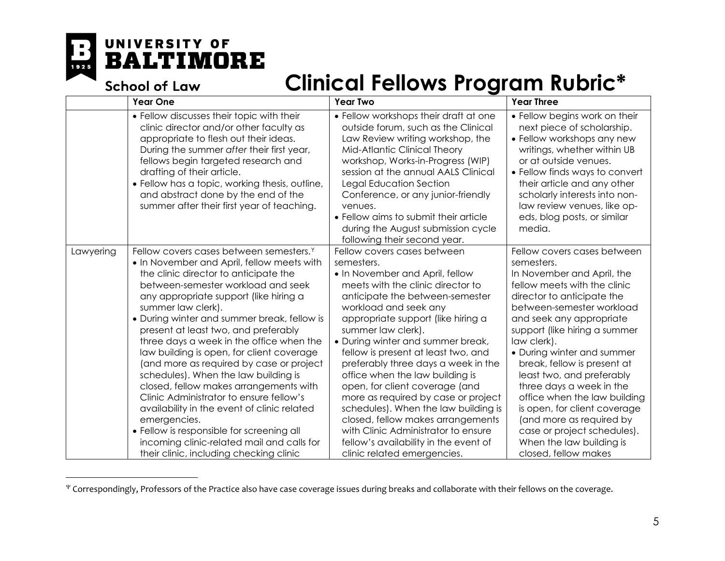1925

l

## <span id="page-4-0"></span>UNIVERSITY OF **BALTIMORE**

|           | <b>School of Law</b>                                                                                                                                                                                                                                                                                                                                                                                                                                                                                                                                                                                                                                                                                                                                                                                           | Clinical Fellows Program Rubric*                                                                                                                                                                                                                                                                                                                                                                                                                                                                                                                                                                                                                                     |                                                                                                                                                                                                                                                                                                                                                                                                                                                                                                                                                     |
|-----------|----------------------------------------------------------------------------------------------------------------------------------------------------------------------------------------------------------------------------------------------------------------------------------------------------------------------------------------------------------------------------------------------------------------------------------------------------------------------------------------------------------------------------------------------------------------------------------------------------------------------------------------------------------------------------------------------------------------------------------------------------------------------------------------------------------------|----------------------------------------------------------------------------------------------------------------------------------------------------------------------------------------------------------------------------------------------------------------------------------------------------------------------------------------------------------------------------------------------------------------------------------------------------------------------------------------------------------------------------------------------------------------------------------------------------------------------------------------------------------------------|-----------------------------------------------------------------------------------------------------------------------------------------------------------------------------------------------------------------------------------------------------------------------------------------------------------------------------------------------------------------------------------------------------------------------------------------------------------------------------------------------------------------------------------------------------|
|           | <b>Year One</b>                                                                                                                                                                                                                                                                                                                                                                                                                                                                                                                                                                                                                                                                                                                                                                                                | <b>Year Two</b>                                                                                                                                                                                                                                                                                                                                                                                                                                                                                                                                                                                                                                                      | <b>Year Three</b>                                                                                                                                                                                                                                                                                                                                                                                                                                                                                                                                   |
|           | • Fellow discusses their topic with their<br>clinic director and/or other faculty as<br>appropriate to flesh out their ideas.<br>During the summer after their first year,<br>fellows begin targeted research and<br>drafting of their article.<br>• Fellow has a topic, working thesis, outline,<br>and abstract done by the end of the<br>summer after their first year of teaching.                                                                                                                                                                                                                                                                                                                                                                                                                         | • Fellow workshops their draft at one<br>outside forum, such as the Clinical<br>Law Review writing workshop, the<br>Mid-Atlantic Clinical Theory<br>workshop, Works-in-Progress (WIP)<br>session at the annual AALS Clinical<br>Legal Education Section<br>Conference, or any junior-friendly<br>venues.<br>• Fellow aims to submit their article<br>during the August submission cycle<br>following their second year.                                                                                                                                                                                                                                              | • Fellow begins work on their<br>next piece of scholarship.<br>• Fellow workshops any new<br>writings, whether within UB<br>or at outside venues.<br>• Fellow finds ways to convert<br>their article and any other<br>scholarly interests into non-<br>law review venues, like op-<br>eds, blog posts, or similar<br>media.                                                                                                                                                                                                                         |
| Lawyering | Fellow covers cases between semesters. <sup>Y</sup><br>• In November and April, fellow meets with<br>the clinic director to anticipate the<br>between-semester workload and seek<br>any appropriate support (like hiring a<br>summer law clerk).<br>• During winter and summer break, fellow is<br>present at least two, and preferably<br>three days a week in the office when the<br>law building is open, for client coverage<br>(and more as required by case or project<br>schedules). When the law building is<br>closed, fellow makes arrangements with<br>Clinic Administrator to ensure fellow's<br>availability in the event of clinic related<br>emergencies.<br>• Fellow is responsible for screening all<br>incoming clinic-related mail and calls for<br>their clinic, including checking clinic | Fellow covers cases between<br>semesters.<br>• In November and April, fellow<br>meets with the clinic director to<br>anticipate the between-semester<br>workload and seek any<br>appropriate support (like hiring a<br>summer law clerk).<br>• During winter and summer break,<br>fellow is present at least two, and<br>preferably three days a week in the<br>office when the law building is<br>open, for client coverage (and<br>more as required by case or project<br>schedules). When the law building is<br>closed, fellow makes arrangements<br>with Clinic Administrator to ensure<br>fellow's availability in the event of<br>clinic related emergencies. | Fellow covers cases between<br>semesters.<br>In November and April, the<br>fellow meets with the clinic<br>director to anticipate the<br>between-semester workload<br>and seek any appropriate<br>support (like hiring a summer<br>law clerk).<br>• During winter and summer<br>break, fellow is present at<br>least two, and preferably<br>three days a week in the<br>office when the law building<br>is open, for client coverage<br>(and more as required by<br>case or project schedules).<br>When the law building is<br>closed, fellow makes |

<sup>Ψ</sup> Correspondingly, Professors of the Practice also have case coverage issues during breaks and collaborate with their fellows on the coverage.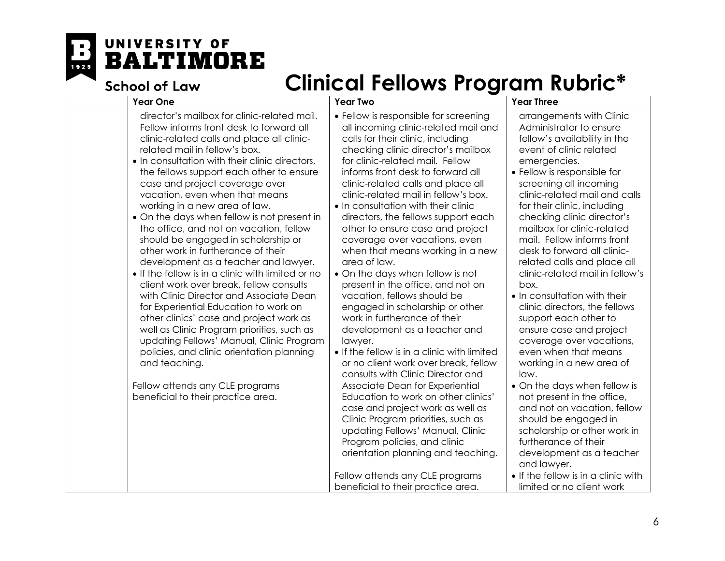E  $\overline{1925}$ 

## UNIVERSITY OF **BALTIMORE**

| <b>Year One</b>                                                                                                                                                                                                                                                                                                                                                                                                                                                                                                                                                                                                                                                                                                                                                                                                                                                                                                                                                                                                                                          | <b>Year Two</b>                                                                                                                                                                                                                                                                                                                                                                                                                                                                                                                                                                                                                                                                                                                                                                                                                                                                                                                                                                                                                                                                                                                                                                                                | <b>Year Three</b>                                                                                                                                                                                                                                                                                                                                                                                                                                                                                                                                                                                                                                                                                                                                                                                                                                                                                                                                                   |
|----------------------------------------------------------------------------------------------------------------------------------------------------------------------------------------------------------------------------------------------------------------------------------------------------------------------------------------------------------------------------------------------------------------------------------------------------------------------------------------------------------------------------------------------------------------------------------------------------------------------------------------------------------------------------------------------------------------------------------------------------------------------------------------------------------------------------------------------------------------------------------------------------------------------------------------------------------------------------------------------------------------------------------------------------------|----------------------------------------------------------------------------------------------------------------------------------------------------------------------------------------------------------------------------------------------------------------------------------------------------------------------------------------------------------------------------------------------------------------------------------------------------------------------------------------------------------------------------------------------------------------------------------------------------------------------------------------------------------------------------------------------------------------------------------------------------------------------------------------------------------------------------------------------------------------------------------------------------------------------------------------------------------------------------------------------------------------------------------------------------------------------------------------------------------------------------------------------------------------------------------------------------------------|---------------------------------------------------------------------------------------------------------------------------------------------------------------------------------------------------------------------------------------------------------------------------------------------------------------------------------------------------------------------------------------------------------------------------------------------------------------------------------------------------------------------------------------------------------------------------------------------------------------------------------------------------------------------------------------------------------------------------------------------------------------------------------------------------------------------------------------------------------------------------------------------------------------------------------------------------------------------|
| director's mailbox for clinic-related mail.<br>Fellow informs front desk to forward all<br>clinic-related calls and place all clinic-<br>related mail in fellow's box.<br>. In consultation with their clinic directors,<br>the fellows support each other to ensure<br>case and project coverage over<br>vacation, even when that means<br>working in a new area of law.<br>• On the days when fellow is not present in<br>the office, and not on vacation, fellow<br>should be engaged in scholarship or<br>other work in furtherance of their<br>development as a teacher and lawyer.<br>• If the fellow is in a clinic with limited or no<br>client work over break, fellow consults<br>with Clinic Director and Associate Dean<br>for Experiential Education to work on<br>other clinics' case and project work as<br>well as Clinic Program priorities, such as<br>updating Fellows' Manual, Clinic Program<br>policies, and clinic orientation planning<br>and teaching.<br>Fellow attends any CLE programs<br>beneficial to their practice area. | • Fellow is responsible for screening<br>all incoming clinic-related mail and<br>calls for their clinic, including<br>checking clinic director's mailbox<br>for clinic-related mail. Fellow<br>informs front desk to forward all<br>clinic-related calls and place all<br>clinic-related mail in fellow's box.<br>• In consultation with their clinic<br>directors, the fellows support each<br>other to ensure case and project<br>coverage over vacations, even<br>when that means working in a new<br>area of law.<br>• On the days when fellow is not<br>present in the office, and not on<br>vacation, fellows should be<br>engaged in scholarship or other<br>work in furtherance of their<br>development as a teacher and<br>lawyer.<br>. If the fellow is in a clinic with limited<br>or no client work over break, fellow<br>consults with Clinic Director and<br>Associate Dean for Experiential<br>Education to work on other clinics'<br>case and project work as well as<br>Clinic Program priorities, such as<br>updating Fellows' Manual, Clinic<br>Program policies, and clinic<br>orientation planning and teaching.<br>Fellow attends any CLE programs<br>beneficial to their practice area. | arrangements with Clinic<br>Administrator to ensure<br>fellow's availability in the<br>event of clinic related<br>emergencies.<br>• Fellow is responsible for<br>screening all incoming<br>clinic-related mail and calls<br>for their clinic, including<br>checking clinic director's<br>mailbox for clinic-related<br>mail. Fellow informs front<br>desk to forward all clinic-<br>related calls and place all<br>clinic-related mail in fellow's<br>box.<br>• In consultation with their<br>clinic directors, the fellows<br>support each other to<br>ensure case and project<br>coverage over vacations,<br>even when that means<br>working in a new area of<br>law.<br>• On the days when fellow is<br>not present in the office,<br>and not on vacation, fellow<br>should be engaged in<br>scholarship or other work in<br>furtherance of their<br>development as a teacher<br>and lawyer.<br>• If the fellow is in a clinic with<br>limited or no client work |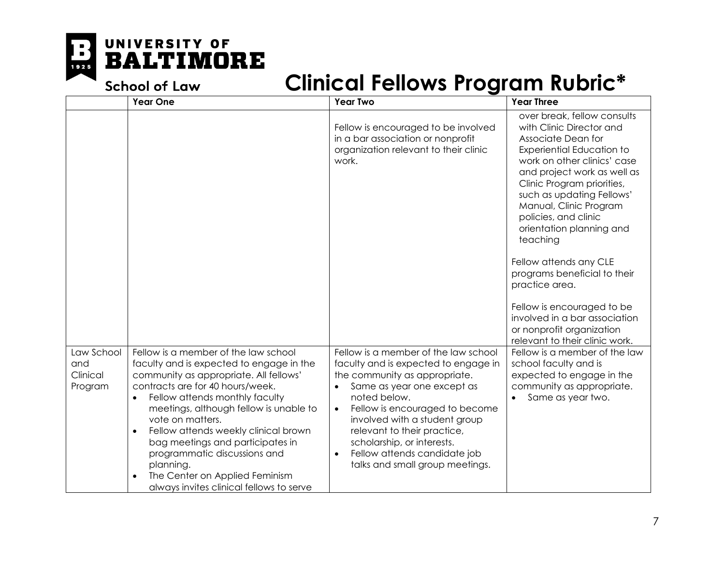

|                                          | <b>Year One</b>                                                                                                                                                                                                                                                                                                                                                                                                                                                                    | <b>Year Two</b>                                                                                                                                                                                                                                                                                                                                                                                       | <b>Year Three</b>                                                                                                                                                                                                                                                                                                                                                                                                                                                        |
|------------------------------------------|------------------------------------------------------------------------------------------------------------------------------------------------------------------------------------------------------------------------------------------------------------------------------------------------------------------------------------------------------------------------------------------------------------------------------------------------------------------------------------|-------------------------------------------------------------------------------------------------------------------------------------------------------------------------------------------------------------------------------------------------------------------------------------------------------------------------------------------------------------------------------------------------------|--------------------------------------------------------------------------------------------------------------------------------------------------------------------------------------------------------------------------------------------------------------------------------------------------------------------------------------------------------------------------------------------------------------------------------------------------------------------------|
|                                          |                                                                                                                                                                                                                                                                                                                                                                                                                                                                                    | Fellow is encouraged to be involved<br>in a bar association or nonprofit<br>organization relevant to their clinic<br>work.                                                                                                                                                                                                                                                                            | over break, fellow consults<br>with Clinic Director and<br>Associate Dean for<br>Experiential Education to<br>work on other clinics' case<br>and project work as well as<br>Clinic Program priorities,<br>such as updating Fellows'<br>Manual, Clinic Program<br>policies, and clinic<br>orientation planning and<br>teaching<br>Fellow attends any CLE<br>programs beneficial to their<br>practice area.<br>Fellow is encouraged to be<br>involved in a bar association |
|                                          |                                                                                                                                                                                                                                                                                                                                                                                                                                                                                    |                                                                                                                                                                                                                                                                                                                                                                                                       | or nonprofit organization<br>relevant to their clinic work.                                                                                                                                                                                                                                                                                                                                                                                                              |
| Law School<br>and<br>Clinical<br>Program | Fellow is a member of the law school<br>faculty and is expected to engage in the<br>community as appropriate. All fellows'<br>contracts are for 40 hours/week.<br>Fellow attends monthly faculty<br>meetings, although fellow is unable to<br>vote on matters.<br>Fellow attends weekly clinical brown<br>$\bullet$<br>bag meetings and participates in<br>programmatic discussions and<br>planning.<br>The Center on Applied Feminism<br>always invites clinical fellows to serve | Fellow is a member of the law school<br>faculty and is expected to engage in<br>the community as appropriate.<br>Same as year one except as<br>$\bullet$<br>noted below.<br>Fellow is encouraged to become<br>$\bullet$<br>involved with a student group<br>relevant to their practice,<br>scholarship, or interests.<br>Fellow attends candidate job<br>$\bullet$<br>talks and small group meetings. | Fellow is a member of the law<br>school faculty and is<br>expected to engage in the<br>community as appropriate.<br>Same as year two.                                                                                                                                                                                                                                                                                                                                    |